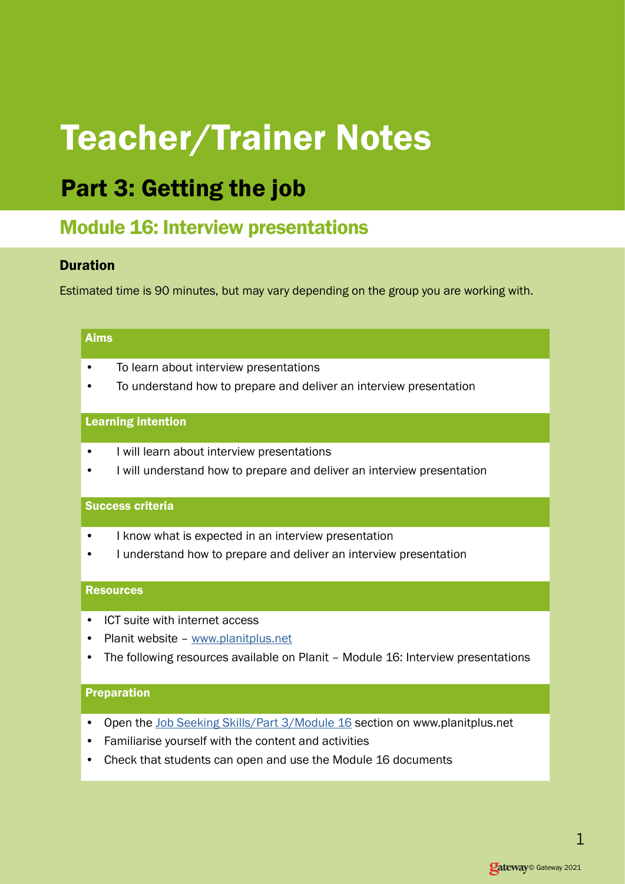# Teacher/Trainer Notes

## Part 3: Getting the job

### Module 16: Interview presentations

#### Duration

Estimated time is 90 minutes, but may vary depending on the group you are working with.

#### Aims

- To learn about interview presentations
- To understand how to prepare and deliver an interview presentation

#### Learning intention

- I will learn about interview presentations
- I will understand how to prepare and deliver an interview presentation

#### Success criteria

- I know what is expected in an interview presentation
- I understand how to prepare and deliver an interview presentation

#### **Resources**

- ICT suite with internet access
- Planit website [www.planitplus.net](https://www.planitplus.net)
- The following resources available on Planit Module 16: Interview presentations

#### **Preparation**

- Open the [Job Seeking Skills/Part 3/Module 16](https://www.planitplus.net/JobSeekingSkills/View/187?categoryId=42) section on www.planitplus.net
- Familiarise yourself with the content and activities
- Check that students can open and use the Module 16 documents